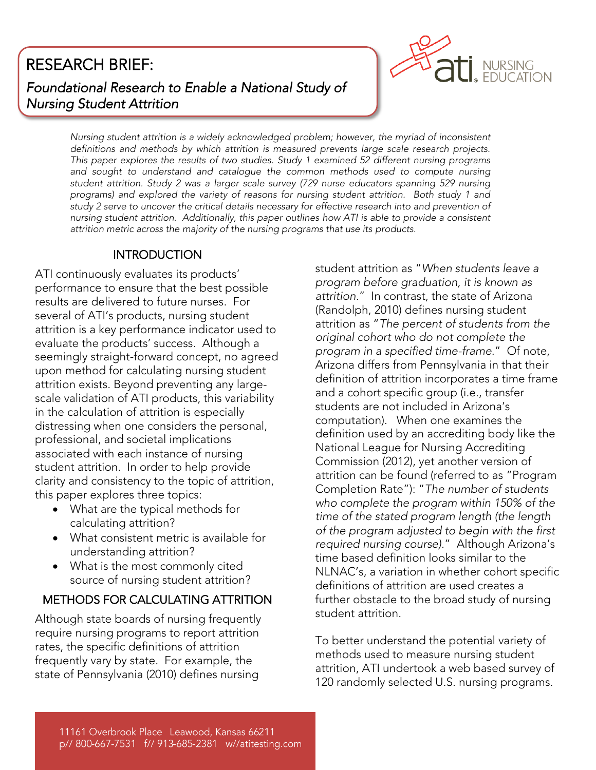## **RESEARCH BRIEF:** RESEARCH BRIEF: **Nursing Student Attrition** *Nursing Student Attrition*



*Nursing student attrition is a widely acknowledged problem; however, the myriad of inconsistent This paper explores the results of two studies. Study 1 examined 52 different nursing programs* and sought to understand and catalogue the common methods used to compute nursing *and sought to understand and catalogue the common methods used to compute nursing*  programs) and explored the variety of reasons for nursing student attrition. Both study 1 and study 2 serve to uncover the critical details necessary for effective research into and prevention of *nursing student attrition. Additionally, this paper outlines how ATI is able to provide a consistent* attrition metric across the majority of the pursing programs that use its products *attrition metric across the majority of the nursing programs that use its products.*

INTRODUCTION<br>Internet performance to ensure that the best possible results are delivered to future nurses. For several of ATI's products, nursing student attrition is a key performance indicator used to evaluate the products' success. Although a seemingly straight-forward concept, no agreed upon method for calculating nursing student attrition exists. Beyond preventing any largescale validation of ATI products, this variability in the calculation of attrition is especially distressing when one considers the personal, professional, and societal implications associated with each instance of nursing student attrition. In order to help provide clarity and consistency to the topic of attrition, this paper explores three topics:

- $\bullet$  What are the typical methods for
	- What consistent metric is available for
	- What is the most commonly cited<br>source of nursing student attrition

## source of nursing student attrition?<br>METHODS FOR CALCULATING ATTRITION METHODS FOR CALCULATING ATTRIBUTE ATTRIBUTE ATTRIBUTE ATTRIBUTE ATTRIBUTE ATTRIBUTE ATTRIBUTE ATTRIBUTE ATTRIBUTE ATTRIBUTE ATTRIBUTE ATTRIBUTE ATTRIBUTE ATTRIBUTE ATTRIBUTE ATTRIBUTE ATTRIBUTE ATTRIBUTE ATTRIBUTE ATTRIBUT

require nursing programs to report attrition rates, the specific definitions of attrition frequently vary by state. For example, the state of Pennsylvania (2010) defines nursing state of Pennsylvania (2010) defines nursing student attrition as "*When students leave a*  attrition." In contrast, the state of Arizona *(Randolph, 2010) defines nursing student* attrition as "The percent of students from the  $\alpha$  original cohort who do not complete the *program in a specified time-frame."* Of note, Arizona differs from Pennsylvania in that their definition of attrition incorporates a time frame and a cohort specific group (i.e., transfer students are not included in Arizona's computation). When one examines the definition used by an accrediting body like the National League for Nursing Accrediting Commission (2012), yet another version of attrition can be found (referred to as "Program Completion Rate"): "The number of students who complete the program within 150% of the time of the stated program length (the length of the program adjusted to begin with the first required nursing course)." Although Arizona's time based definition looks similar to the NLNAC's, a variation in whether cohort specific definitions of attrition are used creates a further obstacle to the broad study of nursing student attrition student attrition.

To better understand the potential variety of<br>methods used to measure nursing student attrition, ATI undertook a web based survey of attricion, ATI undertook als de survey of the based of the survey of the survey of the survey of the survey of the survey of the survey of the survey of the survey of the survey of the survey of the survey of the survey of 120 randomly selected U.S. nursing programs.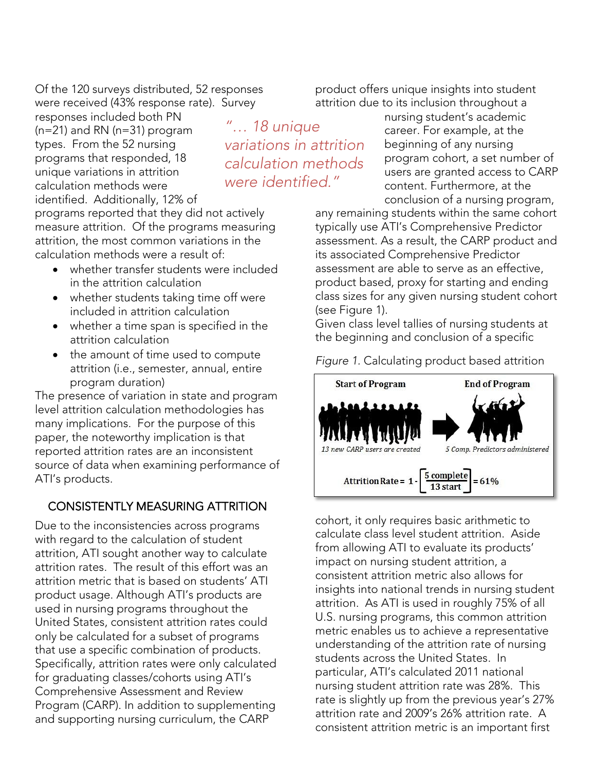Of the 120 surveys distributed, 52 responses

responses included both PN  $(n=21)$  and RN  $(n=31)$  program types. From the 52 nursing programs that responded, 18 unique variations in attrition calculation methods were

*were identified."* identified. Additionally, 12% of programs reported that they did not actively measure attrition. Of the programs measuring attrition, the most common variations in the calculation methods were a result of:

- whether transfer students were included<br>in the attrition calculation
	- $\bullet$  whether students taking time off were
	- $\bullet$  whether a time span is specified in the attrition calculation
	- $\bullet$  the amount of time used to compute<br>attrition (i.e., semester, annual, entire, attrition (i.e., semester, annual, entire<br>program duration)

The presence of variation in state and program level attrition calculation methodologies has many implications. For the purpose of this paper, the noteworthy implication is that reported attrition rates are an inconsistent source of data when examining performance of ATI's products. ATI's products.

# **CONSISTENTLY MEASURING ATTRITION**<br>Due to the inconsistencies across programs

with regard to the calculation of student attrition, ATI sought another way to calculate attrition rates. The result of this effort was an attrition metric that is based on students' ATI product usage. Although ATI's products are used in nursing programs throughout the United States, consistent attrition rates could only be calculated for a subset of programs that use a specific combination of products. Specifically, attrition rates were only calculated for graduating classes/cohorts using ATI's Comprehensive Assessment and Review Program (CARP). In addition to supplementing Program (CARP). In addition to supprementing and supporting nursing curriculum, the CARP

*"… 18 unique <u>calculation</u>* methods were identified."

product offers unique insights into student<br>attrition due to its inclusion throughout a

nursing student's academic career. For example, at the beginning of any nursing program cohort, a set number of users are granted access to CARP content. Furthermore, at the conclusion of a nursing program,

any remaining students within the same cohort typically use ATI's Comprehensive Predictor assessment. As a result, the CARP product and its associated Comprehensive Predictor assessment are able to serve as an effective, product based, proxy for starting and ending class sizes for any given nursing student cohort (see Figure 1).

Given class level tallies of nursing students at the beginning and conclusion of a specific  $\mathbf{b}$  and  $\mathbf{c}$  such a specific of a specific of a specific of a specific of a specific of a specific order of  $\mathbf{b}$ 

*Figure 1.* Calculating product based attrition



cohort, it only requires basic arithmetic to from allowing ATI to evaluate its products' impact on nursing student attrition, a consistent attrition metric also allows for insights into national trends in nursing student attrition. As ATI is used in roughly 75% of all U.S. nursing programs, this common attrition metric enables us to achieve a representative understanding of the attrition rate of nursing students across the United States. In particular, ATI's calculated 2011 national nursing student attrition rate was 28%. This rate is slightly up from the previous year's 27% attrition rate and 2009's 26% attrition rate. A consistent attrition metric is an important first consistent attrition metric is an important first first first first first first first first first first first first first first first first first first first first first first first first first first first first first firs